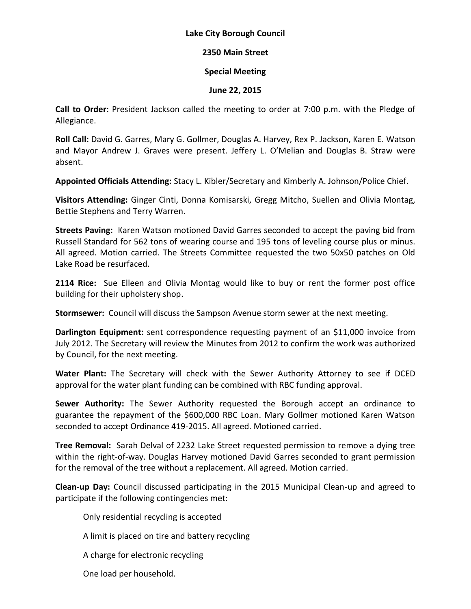## **Lake City Borough Council**

## **2350 Main Street**

## **Special Meeting**

## **June 22, 2015**

**Call to Order**: President Jackson called the meeting to order at 7:00 p.m. with the Pledge of Allegiance.

**Roll Call:** David G. Garres, Mary G. Gollmer, Douglas A. Harvey, Rex P. Jackson, Karen E. Watson and Mayor Andrew J. Graves were present. Jeffery L. O'Melian and Douglas B. Straw were absent.

**Appointed Officials Attending:** Stacy L. Kibler/Secretary and Kimberly A. Johnson/Police Chief.

**Visitors Attending:** Ginger Cinti, Donna Komisarski, Gregg Mitcho, Suellen and Olivia Montag, Bettie Stephens and Terry Warren.

**Streets Paving:** Karen Watson motioned David Garres seconded to accept the paving bid from Russell Standard for 562 tons of wearing course and 195 tons of leveling course plus or minus. All agreed. Motion carried. The Streets Committee requested the two 50x50 patches on Old Lake Road be resurfaced.

**2114 Rice:** Sue Elleen and Olivia Montag would like to buy or rent the former post office building for their upholstery shop.

**Stormsewer:** Council will discuss the Sampson Avenue storm sewer at the next meeting.

**Darlington Equipment:** sent correspondence requesting payment of an \$11,000 invoice from July 2012. The Secretary will review the Minutes from 2012 to confirm the work was authorized by Council, for the next meeting.

**Water Plant:** The Secretary will check with the Sewer Authority Attorney to see if DCED approval for the water plant funding can be combined with RBC funding approval.

**Sewer Authority:** The Sewer Authority requested the Borough accept an ordinance to guarantee the repayment of the \$600,000 RBC Loan. Mary Gollmer motioned Karen Watson seconded to accept Ordinance 419-2015. All agreed. Motioned carried.

**Tree Removal:** Sarah Delval of 2232 Lake Street requested permission to remove a dying tree within the right-of-way. Douglas Harvey motioned David Garres seconded to grant permission for the removal of the tree without a replacement. All agreed. Motion carried.

**Clean-up Day:** Council discussed participating in the 2015 Municipal Clean-up and agreed to participate if the following contingencies met:

Only residential recycling is accepted

A limit is placed on tire and battery recycling

A charge for electronic recycling

One load per household.